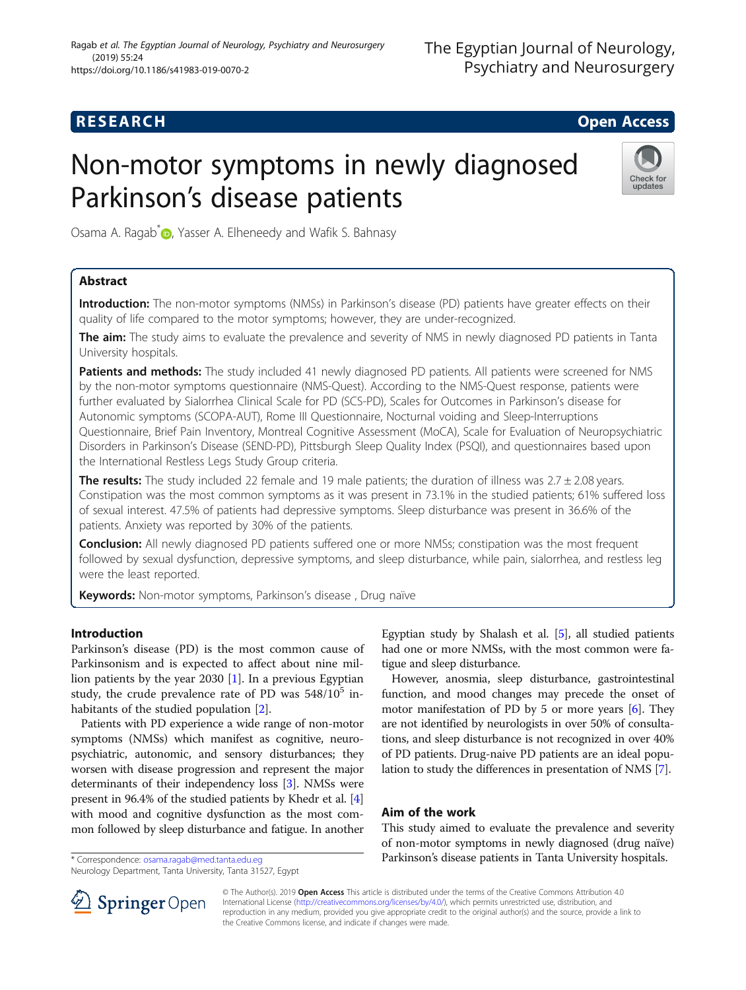# **RESEARCH CHE Open Access**

# Non-motor symptoms in newly diagnosed Parkinson's disease patients



Osama A. Ragab<sup>[\\*](http://orcid.org/0000-0003-0215-7629)</sup> **D**, Yasser A. Elheneedy and Wafik S. Bahnasy

# Abstract

Introduction: The non-motor symptoms (NMSs) in Parkinson's disease (PD) patients have greater effects on their quality of life compared to the motor symptoms; however, they are under-recognized.

The aim: The study aims to evaluate the prevalence and severity of NMS in newly diagnosed PD patients in Tanta University hospitals.

Patients and methods: The study included 41 newly diagnosed PD patients. All patients were screened for NMS by the non-motor symptoms questionnaire (NMS-Quest). According to the NMS-Quest response, patients were further evaluated by Sialorrhea Clinical Scale for PD (SCS-PD), Scales for Outcomes in Parkinson's disease for Autonomic symptoms (SCOPA-AUT), Rome III Questionnaire, Nocturnal voiding and Sleep-Interruptions Questionnaire, Brief Pain Inventory, Montreal Cognitive Assessment (MoCA), Scale for Evaluation of Neuropsychiatric Disorders in Parkinson's Disease (SEND-PD), Pittsburgh Sleep Quality Index (PSQI), and questionnaires based upon the International Restless Legs Study Group criteria.

The results: The study included 22 female and 19 male patients; the duration of illness was  $2.7 \pm 2.08$  years. Constipation was the most common symptoms as it was present in 73.1% in the studied patients; 61% suffered loss of sexual interest. 47.5% of patients had depressive symptoms. Sleep disturbance was present in 36.6% of the patients. Anxiety was reported by 30% of the patients.

**Conclusion:** All newly diagnosed PD patients suffered one or more NMSs; constipation was the most frequent followed by sexual dysfunction, depressive symptoms, and sleep disturbance, while pain, sialorrhea, and restless leg were the least reported.

**Keywords:** Non-motor symptoms, Parkinson's disease, Drug naïve

# Introduction

Parkinson's disease (PD) is the most common cause of Parkinsonism and is expected to affect about nine million patients by the year 2030 [[1\]](#page-5-0). In a previous Egyptian study, the crude prevalence rate of PD was  $548/10^5$  inhabitants of the studied population [[2](#page-5-0)].

Patients with PD experience a wide range of non-motor symptoms (NMSs) which manifest as cognitive, neuropsychiatric, autonomic, and sensory disturbances; they worsen with disease progression and represent the major determinants of their independency loss [[3\]](#page-5-0). NMSs were present in 96.4% of the studied patients by Khedr et al. [[4](#page-5-0)] with mood and cognitive dysfunction as the most common followed by sleep disturbance and fatigue. In another

\* Correspondence: [osama.ragab@med.tanta.edu.eg](mailto:osama.ragab@med.tanta.edu.eg)

Neurology Department, Tanta University, Tanta 31527, Egypt

Egyptian study by Shalash et al. [[5\]](#page-6-0), all studied patients had one or more NMSs, with the most common were fatigue and sleep disturbance.

However, anosmia, sleep disturbance, gastrointestinal function, and mood changes may precede the onset of motor manifestation of PD by 5 or more years [[6](#page-6-0)]. They are not identified by neurologists in over 50% of consultations, and sleep disturbance is not recognized in over 40% of PD patients. Drug-naive PD patients are an ideal population to study the differences in presentation of NMS [\[7\]](#page-6-0).

# Aim of the work

This study aimed to evaluate the prevalence and severity of non-motor symptoms in newly diagnosed (drug naïve) Parkinson's disease patients in Tanta University hospitals.



© The Author(s). 2019 Open Access This article is distributed under the terms of the Creative Commons Attribution 4.0 International License ([http://creativecommons.org/licenses/by/4.0/\)](http://creativecommons.org/licenses/by/4.0/), which permits unrestricted use, distribution, and reproduction in any medium, provided you give appropriate credit to the original author(s) and the source, provide a link to the Creative Commons license, and indicate if changes were made.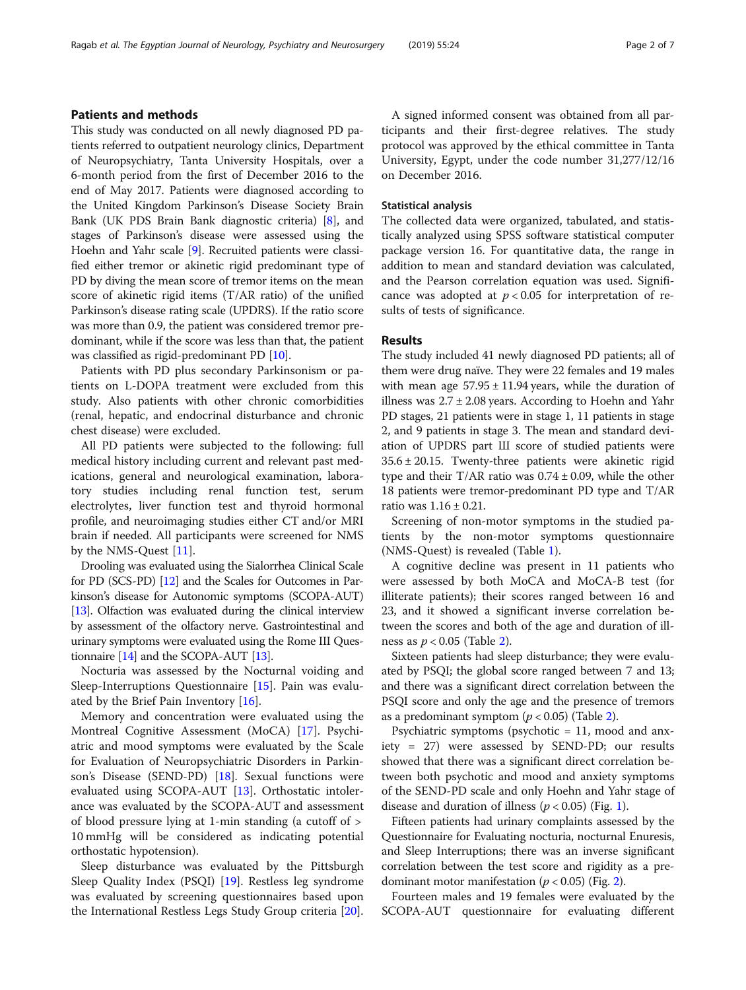### Patients and methods

This study was conducted on all newly diagnosed PD patients referred to outpatient neurology clinics, Department of Neuropsychiatry, Tanta University Hospitals, over a 6-month period from the first of December 2016 to the end of May 2017. Patients were diagnosed according to the United Kingdom Parkinson's Disease Society Brain Bank (UK PDS Brain Bank diagnostic criteria) [\[8\]](#page-6-0), and stages of Parkinson's disease were assessed using the Hoehn and Yahr scale [\[9](#page-6-0)]. Recruited patients were classified either tremor or akinetic rigid predominant type of PD by diving the mean score of tremor items on the mean score of akinetic rigid items (T/AR ratio) of the unified Parkinson's disease rating scale (UPDRS). If the ratio score was more than 0.9, the patient was considered tremor predominant, while if the score was less than that, the patient was classified as rigid-predominant PD [[10](#page-6-0)].

Patients with PD plus secondary Parkinsonism or patients on L-DOPA treatment were excluded from this study. Also patients with other chronic comorbidities (renal, hepatic, and endocrinal disturbance and chronic chest disease) were excluded.

All PD patients were subjected to the following: full medical history including current and relevant past medications, general and neurological examination, laboratory studies including renal function test, serum electrolytes, liver function test and thyroid hormonal profile, and neuroimaging studies either CT and/or MRI brain if needed. All participants were screened for NMS by the NMS-Quest [[11\]](#page-6-0).

Drooling was evaluated using the Sialorrhea Clinical Scale for PD (SCS-PD) [\[12\]](#page-6-0) and the Scales for Outcomes in Parkinson's disease for Autonomic symptoms (SCOPA-AUT) [[13](#page-6-0)]. Olfaction was evaluated during the clinical interview by assessment of the olfactory nerve. Gastrointestinal and urinary symptoms were evaluated using the Rome III Questionnaire [\[14\]](#page-6-0) and the SCOPA-AUT [[13](#page-6-0)].

Nocturia was assessed by the Nocturnal voiding and Sleep-Interruptions Questionnaire [\[15](#page-6-0)]. Pain was evaluated by the Brief Pain Inventory [[16](#page-6-0)].

Memory and concentration were evaluated using the Montreal Cognitive Assessment (MoCA) [[17](#page-6-0)]. Psychiatric and mood symptoms were evaluated by the Scale for Evaluation of Neuropsychiatric Disorders in Parkinson's Disease (SEND-PD) [[18](#page-6-0)]. Sexual functions were evaluated using SCOPA-AUT [\[13](#page-6-0)]. Orthostatic intolerance was evaluated by the SCOPA-AUT and assessment of blood pressure lying at 1-min standing (a cutoff of > 10 mmHg will be considered as indicating potential orthostatic hypotension).

Sleep disturbance was evaluated by the Pittsburgh Sleep Quality Index (PSQI) [\[19\]](#page-6-0). Restless leg syndrome was evaluated by screening questionnaires based upon the International Restless Legs Study Group criteria [\[20\]](#page-6-0).

A signed informed consent was obtained from all participants and their first-degree relatives. The study protocol was approved by the ethical committee in Tanta University, Egypt, under the code number 31,277/12/16 on December 2016.

# Statistical analysis

The collected data were organized, tabulated, and statistically analyzed using SPSS software statistical computer package version 16. For quantitative data, the range in addition to mean and standard deviation was calculated, and the Pearson correlation equation was used. Significance was adopted at  $p < 0.05$  for interpretation of results of tests of significance.

#### Results

The study included 41 newly diagnosed PD patients; all of them were drug naïve. They were 22 females and 19 males with mean age  $57.95 \pm 11.94$  years, while the duration of illness was  $2.7 \pm 2.08$  years. According to Hoehn and Yahr PD stages, 21 patients were in stage 1, 11 patients in stage 2, and 9 patients in stage 3. The mean and standard deviation of UPDRS part Ш score of studied patients were  $35.6 \pm 20.15$ . Twenty-three patients were akinetic rigid type and their T/AR ratio was  $0.74 \pm 0.09$ , while the other 18 patients were tremor-predominant PD type and T/AR ratio was 1.16 ± 0.21.

Screening of non-motor symptoms in the studied patients by the non-motor symptoms questionnaire (NMS-Quest) is revealed (Table [1\)](#page-2-0).

A cognitive decline was present in 11 patients who were assessed by both MoCA and MoCA-B test (for illiterate patients); their scores ranged between 16 and 23, and it showed a significant inverse correlation between the scores and both of the age and duration of illness as  $p < 0.05$  (Table [2\)](#page-2-0).

Sixteen patients had sleep disturbance; they were evaluated by PSQI; the global score ranged between 7 and 13; and there was a significant direct correlation between the PSQI score and only the age and the presence of tremors as a predominant symptom ( $p < 0.05$ ) (Table [2\)](#page-2-0).

Psychiatric symptoms (psychotic = 11, mood and anxiety = 27) were assessed by SEND-PD; our results showed that there was a significant direct correlation between both psychotic and mood and anxiety symptoms of the SEND-PD scale and only Hoehn and Yahr stage of disease and duration of illness ( $p < 0.05$ ) (Fig. [1\)](#page-3-0).

Fifteen patients had urinary complaints assessed by the Questionnaire for Evaluating nocturia, nocturnal Enuresis, and Sleep Interruptions; there was an inverse significant correlation between the test score and rigidity as a predominant motor manifestation ( $p < 0.05$ ) (Fig. [2\)](#page-3-0).

Fourteen males and 19 females were evaluated by the SCOPA-AUT questionnaire for evaluating different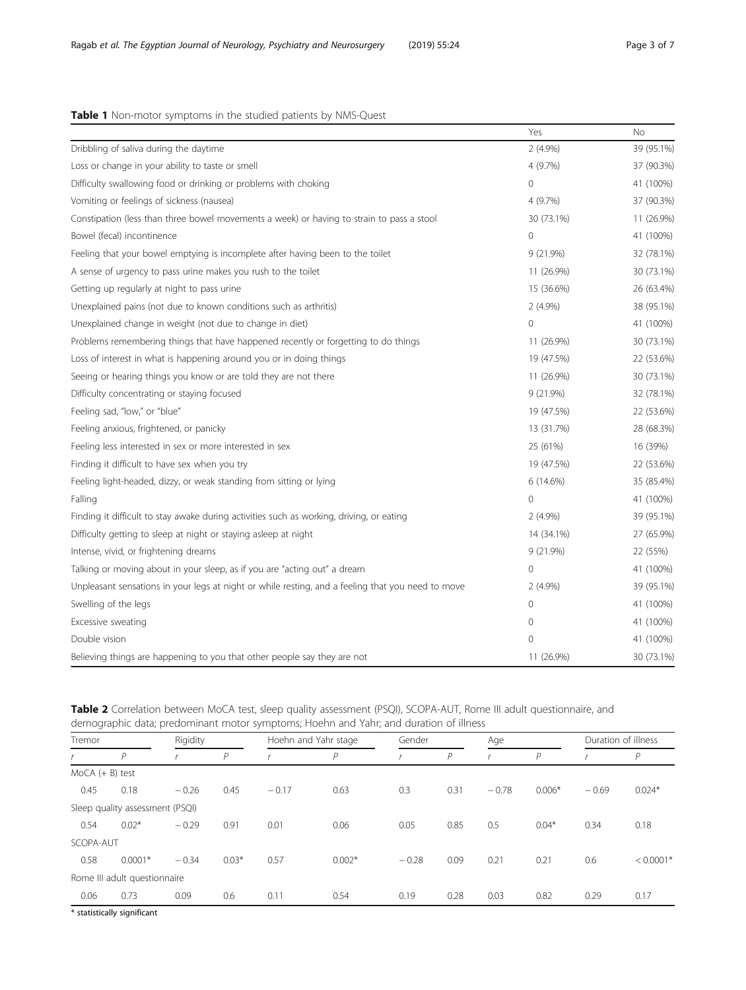# <span id="page-2-0"></span>Table 1 Non-motor symptoms in the studied patients by NMS-Quest

|                                                                                                   | Yes        | <b>No</b>  |
|---------------------------------------------------------------------------------------------------|------------|------------|
| Dribbling of saliva during the daytime                                                            | $2(4.9\%)$ | 39 (95.1%) |
| Loss or change in your ability to taste or smell                                                  | 4 (9.7%)   | 37 (90.3%) |
| Difficulty swallowing food or drinking or problems with choking                                   | 0          | 41 (100%)  |
| Vomiting or feelings of sickness (nausea)                                                         | 4 (9.7%)   | 37 (90.3%) |
| Constipation (less than three bowel movements a week) or having to strain to pass a stool         | 30 (73.1%) | 11 (26.9%) |
| Bowel (fecal) incontinence                                                                        | $\Omega$   | 41 (100%)  |
| Feeling that your bowel emptying is incomplete after having been to the toilet                    | 9 (21.9%)  | 32 (78.1%) |
| A sense of urgency to pass urine makes you rush to the toilet                                     | 11 (26.9%) | 30 (73.1%) |
| Getting up regularly at night to pass urine                                                       | 15 (36.6%) | 26 (63.4%) |
| Unexplained pains (not due to known conditions such as arthritis)                                 | $2(4.9\%)$ | 38 (95.1%) |
| Unexplained change in weight (not due to change in diet)                                          | 0          | 41 (100%)  |
| Problems remembering things that have happened recently or forgetting to do things                | 11 (26.9%) | 30 (73.1%) |
| Loss of interest in what is happening around you or in doing things                               | 19 (47.5%) | 22 (53.6%) |
| Seeing or hearing things you know or are told they are not there                                  | 11 (26.9%) | 30 (73.1%) |
| Difficulty concentrating or staying focused                                                       | 9 (21.9%)  | 32 (78.1%) |
| Feeling sad, "low," or "blue"                                                                     | 19 (47.5%) | 22 (53.6%) |
| Feeling anxious, frightened, or panicky                                                           | 13 (31.7%) | 28 (68.3%) |
| Feeling less interested in sex or more interested in sex                                          | 25 (61%)   | 16 (39%)   |
| Finding it difficult to have sex when you try                                                     | 19 (47.5%) | 22 (53.6%) |
| Feeling light-headed, dizzy, or weak standing from sitting or lying                               | 6 (14.6%)  | 35 (85.4%) |
| Falling                                                                                           | 0          | 41 (100%)  |
| Finding it difficult to stay awake during activities such as working, driving, or eating          | $2(4.9\%)$ | 39 (95.1%) |
| Difficulty getting to sleep at night or staying asleep at night                                   | 14 (34.1%) | 27 (65.9%) |
| Intense, vivid, or frightening dreams                                                             | 9(21.9%)   | 22 (55%)   |
| Talking or moving about in your sleep, as if you are "acting out" a dream                         | 0          | 41 (100%)  |
| Unpleasant sensations in your legs at night or while resting, and a feeling that you need to move | $2(4.9\%)$ | 39 (95.1%) |
| Swelling of the legs                                                                              | 0          | 41 (100%)  |
| Excessive sweating                                                                                | 0          | 41 (100%)  |
| Double vision                                                                                     | 0          | 41 (100%)  |
| Believing things are happening to you that other people say they are not                          | 11 (26.9%) | 30 (73.1%) |

| Table 2 Correlation between MoCA test, sleep quality assessment (PSQI), SCOPA-AUT, Rome III adult questionnaire, and |  |
|----------------------------------------------------------------------------------------------------------------------|--|
| demographic data; predominant motor symptoms; Hoehn and Yahr; and duration of illness                                |  |

| Tremor            |                                 | Rigidity |               | Hoehn and Yahr stage |          | Gender  |                | Age     |          | Duration of illness |             |
|-------------------|---------------------------------|----------|---------------|----------------------|----------|---------|----------------|---------|----------|---------------------|-------------|
|                   | $\overline{P}$                  |          | $\mathcal{P}$ |                      | P        |         | $\overline{P}$ |         | P        |                     | P           |
| $MoCA (+ B) test$ |                                 |          |               |                      |          |         |                |         |          |                     |             |
| 0.45              | 0.18                            | $-0.26$  | 0.45          | $-0.17$              | 0.63     | 0.3     | 0.31           | $-0.78$ | $0.006*$ | $-0.69$             | $0.024*$    |
|                   | Sleep quality assessment (PSQI) |          |               |                      |          |         |                |         |          |                     |             |
| 0.54              | $0.02*$                         | $-0.29$  | 0.91          | 0.01                 | 0.06     | 0.05    | 0.85           | 0.5     | $0.04*$  | 0.34                | 0.18        |
| SCOPA-AUT         |                                 |          |               |                      |          |         |                |         |          |                     |             |
| 0.58              | $0.0001*$                       | $-0.34$  | $0.03*$       | 0.57                 | $0.002*$ | $-0.28$ | 0.09           | 0.21    | 0.21     | 0.6                 | $< 0.0001*$ |
|                   | Rome III adult questionnaire    |          |               |                      |          |         |                |         |          |                     |             |
| 0.06              | 0.73                            | 0.09     | 0.6           | 0.11                 | 0.54     | 0.19    | 0.28           | 0.03    | 0.82     | 0.29                | 0.17        |

\* statistically significant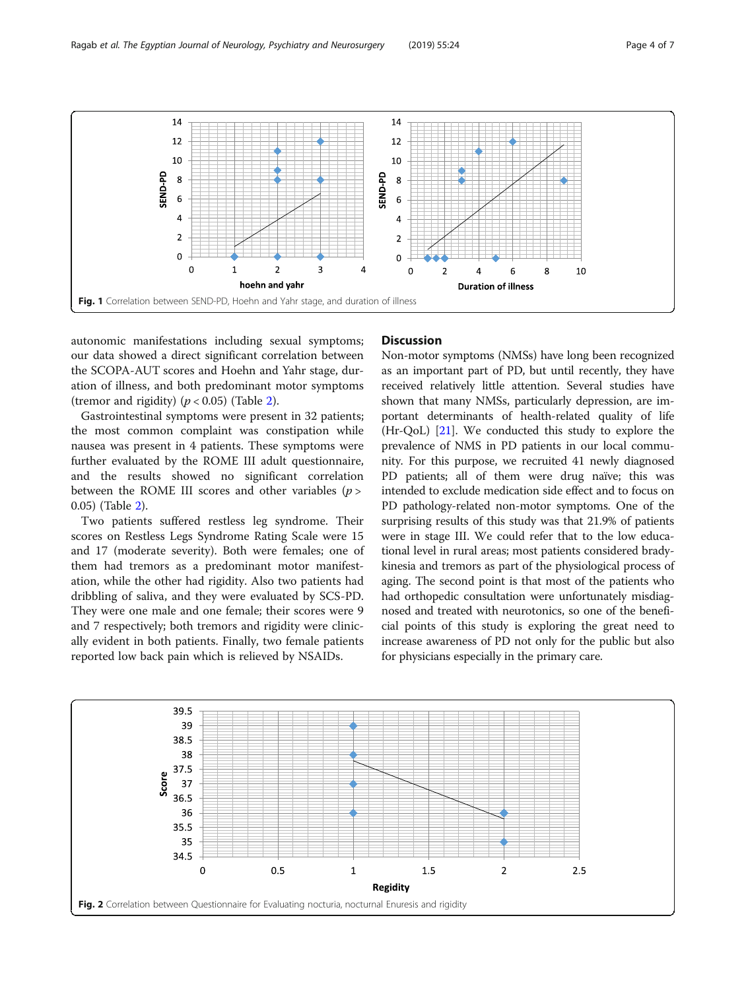<span id="page-3-0"></span>

autonomic manifestations including sexual symptoms; our data showed a direct significant correlation between the SCOPA-AUT scores and Hoehn and Yahr stage, duration of illness, and both predominant motor symptoms (tremor and rigidity)  $(p < 0.05)$  (Table [2\)](#page-2-0).

Gastrointestinal symptoms were present in 32 patients; the most common complaint was constipation while nausea was present in 4 patients. These symptoms were further evaluated by the ROME III adult questionnaire, and the results showed no significant correlation between the ROME III scores and other variables  $(p >$ 0.05) (Table [2\)](#page-2-0).

Two patients suffered restless leg syndrome. Their scores on Restless Legs Syndrome Rating Scale were 15 and 17 (moderate severity). Both were females; one of them had tremors as a predominant motor manifestation, while the other had rigidity. Also two patients had dribbling of saliva, and they were evaluated by SCS-PD. They were one male and one female; their scores were 9 and 7 respectively; both tremors and rigidity were clinically evident in both patients. Finally, two female patients reported low back pain which is relieved by NSAIDs.

#### **Discussion**

Non-motor symptoms (NMSs) have long been recognized as an important part of PD, but until recently, they have received relatively little attention. Several studies have shown that many NMSs, particularly depression, are important determinants of health-related quality of life (Hr-QoL) [[21](#page-6-0)]. We conducted this study to explore the prevalence of NMS in PD patients in our local community. For this purpose, we recruited 41 newly diagnosed PD patients; all of them were drug naïve; this was intended to exclude medication side effect and to focus on PD pathology-related non-motor symptoms. One of the surprising results of this study was that 21.9% of patients were in stage III. We could refer that to the low educational level in rural areas; most patients considered bradykinesia and tremors as part of the physiological process of aging. The second point is that most of the patients who had orthopedic consultation were unfortunately misdiagnosed and treated with neurotonics, so one of the beneficial points of this study is exploring the great need to increase awareness of PD not only for the public but also for physicians especially in the primary care.

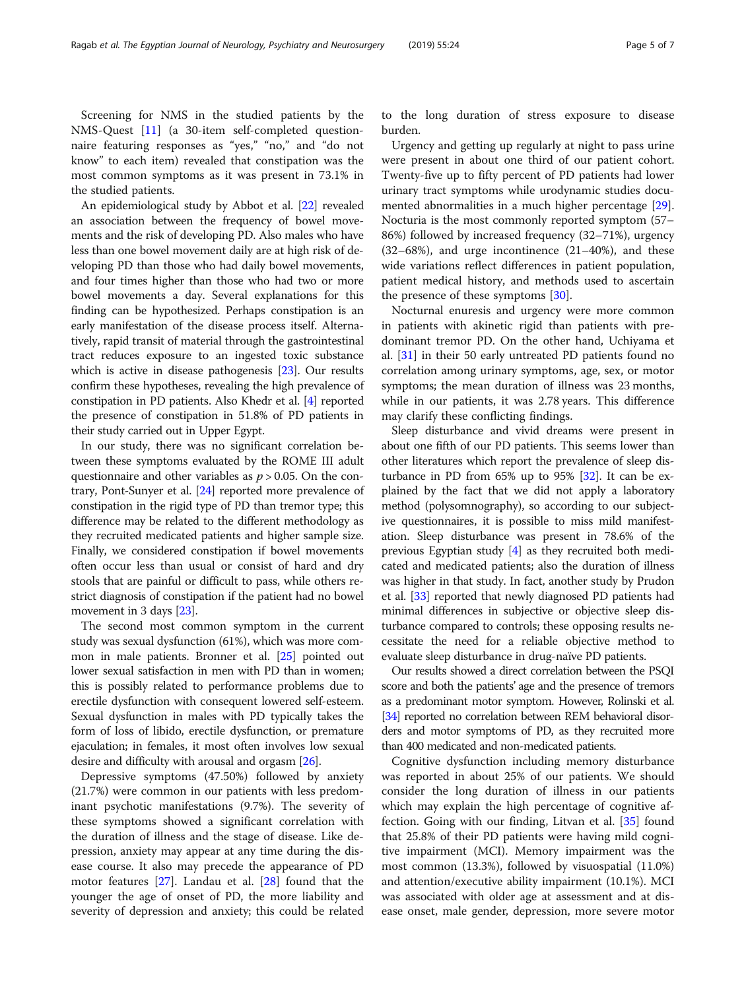Screening for NMS in the studied patients by the NMS-Quest [[11\]](#page-6-0) (a 30-item self-completed questionnaire featuring responses as "yes," "no," and "do not know" to each item) revealed that constipation was the most common symptoms as it was present in 73.1% in the studied patients.

An epidemiological study by Abbot et al. [\[22\]](#page-6-0) revealed an association between the frequency of bowel movements and the risk of developing PD. Also males who have less than one bowel movement daily are at high risk of developing PD than those who had daily bowel movements, and four times higher than those who had two or more bowel movements a day. Several explanations for this finding can be hypothesized. Perhaps constipation is an early manifestation of the disease process itself. Alternatively, rapid transit of material through the gastrointestinal tract reduces exposure to an ingested toxic substance which is active in disease pathogenesis [[23](#page-6-0)]. Our results confirm these hypotheses, revealing the high prevalence of constipation in PD patients. Also Khedr et al. [\[4](#page-5-0)] reported the presence of constipation in 51.8% of PD patients in their study carried out in Upper Egypt.

In our study, there was no significant correlation between these symptoms evaluated by the ROME III adult questionnaire and other variables as  $p > 0.05$ . On the contrary, Pont-Sunyer et al. [\[24\]](#page-6-0) reported more prevalence of constipation in the rigid type of PD than tremor type; this difference may be related to the different methodology as they recruited medicated patients and higher sample size. Finally, we considered constipation if bowel movements often occur less than usual or consist of hard and dry stools that are painful or difficult to pass, while others restrict diagnosis of constipation if the patient had no bowel movement in 3 days [\[23\]](#page-6-0).

The second most common symptom in the current study was sexual dysfunction (61%), which was more common in male patients. Bronner et al. [[25](#page-6-0)] pointed out lower sexual satisfaction in men with PD than in women; this is possibly related to performance problems due to erectile dysfunction with consequent lowered self-esteem. Sexual dysfunction in males with PD typically takes the form of loss of libido, erectile dysfunction, or premature ejaculation; in females, it most often involves low sexual desire and difficulty with arousal and orgasm [[26](#page-6-0)].

Depressive symptoms (47.50%) followed by anxiety (21.7%) were common in our patients with less predominant psychotic manifestations (9.7%). The severity of these symptoms showed a significant correlation with the duration of illness and the stage of disease. Like depression, anxiety may appear at any time during the disease course. It also may precede the appearance of PD motor features [\[27](#page-6-0)]. Landau et al. [[28](#page-6-0)] found that the younger the age of onset of PD, the more liability and severity of depression and anxiety; this could be related

to the long duration of stress exposure to disease burden.

Urgency and getting up regularly at night to pass urine were present in about one third of our patient cohort. Twenty-five up to fifty percent of PD patients had lower urinary tract symptoms while urodynamic studies documented abnormalities in a much higher percentage [\[29](#page-6-0)]. Nocturia is the most commonly reported symptom (57– 86%) followed by increased frequency (32–71%), urgency  $(32-68%)$ , and urge incontinence  $(21-40%)$ , and these wide variations reflect differences in patient population, patient medical history, and methods used to ascertain the presence of these symptoms [[30\]](#page-6-0).

Nocturnal enuresis and urgency were more common in patients with akinetic rigid than patients with predominant tremor PD. On the other hand, Uchiyama et al. [\[31](#page-6-0)] in their 50 early untreated PD patients found no correlation among urinary symptoms, age, sex, or motor symptoms; the mean duration of illness was 23 months, while in our patients, it was 2.78 years. This difference may clarify these conflicting findings.

Sleep disturbance and vivid dreams were present in about one fifth of our PD patients. This seems lower than other literatures which report the prevalence of sleep disturbance in PD from 65% up to 95% [[32](#page-6-0)]. It can be explained by the fact that we did not apply a laboratory method (polysomnography), so according to our subjective questionnaires, it is possible to miss mild manifestation. Sleep disturbance was present in 78.6% of the previous Egyptian study [\[4\]](#page-5-0) as they recruited both medicated and medicated patients; also the duration of illness was higher in that study. In fact, another study by Prudon et al. [[33](#page-6-0)] reported that newly diagnosed PD patients had minimal differences in subjective or objective sleep disturbance compared to controls; these opposing results necessitate the need for a reliable objective method to evaluate sleep disturbance in drug-naïve PD patients.

Our results showed a direct correlation between the PSQI score and both the patients' age and the presence of tremors as a predominant motor symptom. However, Rolinski et al. [[34\]](#page-6-0) reported no correlation between REM behavioral disorders and motor symptoms of PD, as they recruited more than 400 medicated and non-medicated patients.

Cognitive dysfunction including memory disturbance was reported in about 25% of our patients. We should consider the long duration of illness in our patients which may explain the high percentage of cognitive affection. Going with our finding, Litvan et al. [[35\]](#page-6-0) found that 25.8% of their PD patients were having mild cognitive impairment (MCI). Memory impairment was the most common (13.3%), followed by visuospatial (11.0%) and attention/executive ability impairment (10.1%). MCI was associated with older age at assessment and at disease onset, male gender, depression, more severe motor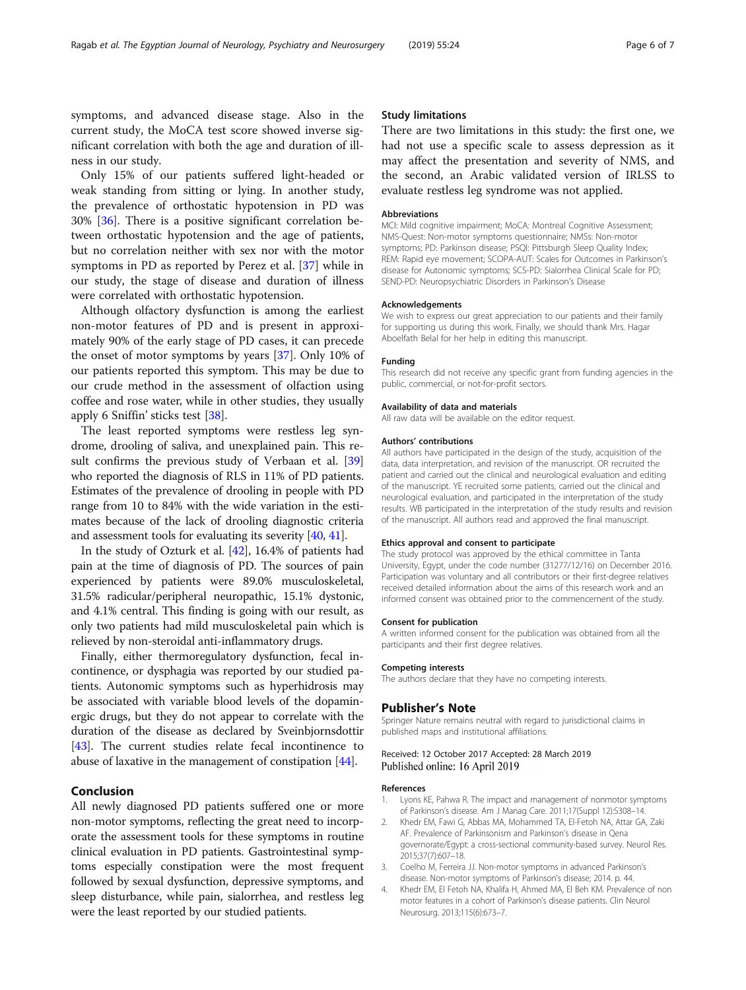<span id="page-5-0"></span>symptoms, and advanced disease stage. Also in the current study, the MoCA test score showed inverse significant correlation with both the age and duration of illness in our study.

Only 15% of our patients suffered light-headed or weak standing from sitting or lying. In another study, the prevalence of orthostatic hypotension in PD was 30% [[36](#page-6-0)]. There is a positive significant correlation between orthostatic hypotension and the age of patients, but no correlation neither with sex nor with the motor symptoms in PD as reported by Perez et al. [[37\]](#page-6-0) while in our study, the stage of disease and duration of illness were correlated with orthostatic hypotension.

Although olfactory dysfunction is among the earliest non-motor features of PD and is present in approximately 90% of the early stage of PD cases, it can precede the onset of motor symptoms by years [\[37](#page-6-0)]. Only 10% of our patients reported this symptom. This may be due to our crude method in the assessment of olfaction using coffee and rose water, while in other studies, they usually apply 6 Sniffin' sticks test [[38](#page-6-0)].

The least reported symptoms were restless leg syndrome, drooling of saliva, and unexplained pain. This re-sult confirms the previous study of Verbaan et al. [[39](#page-6-0)] who reported the diagnosis of RLS in 11% of PD patients. Estimates of the prevalence of drooling in people with PD range from 10 to 84% with the wide variation in the estimates because of the lack of drooling diagnostic criteria and assessment tools for evaluating its severity [\[40,](#page-6-0) [41](#page-6-0)].

In the study of Ozturk et al. [\[42](#page-6-0)], 16.4% of patients had pain at the time of diagnosis of PD. The sources of pain experienced by patients were 89.0% musculoskeletal, 31.5% radicular/peripheral neuropathic, 15.1% dystonic, and 4.1% central. This finding is going with our result, as only two patients had mild musculoskeletal pain which is relieved by non-steroidal anti-inflammatory drugs.

Finally, either thermoregulatory dysfunction, fecal incontinence, or dysphagia was reported by our studied patients. Autonomic symptoms such as hyperhidrosis may be associated with variable blood levels of the dopaminergic drugs, but they do not appear to correlate with the duration of the disease as declared by Sveinbjornsdottir [[43](#page-6-0)]. The current studies relate fecal incontinence to abuse of laxative in the management of constipation [[44](#page-6-0)].

### Conclusion

All newly diagnosed PD patients suffered one or more non-motor symptoms, reflecting the great need to incorporate the assessment tools for these symptoms in routine clinical evaluation in PD patients. Gastrointestinal symptoms especially constipation were the most frequent followed by sexual dysfunction, depressive symptoms, and sleep disturbance, while pain, sialorrhea, and restless leg were the least reported by our studied patients.

#### Study limitations

There are two limitations in this study: the first one, we had not use a specific scale to assess depression as it may affect the presentation and severity of NMS, and the second, an Arabic validated version of IRLSS to evaluate restless leg syndrome was not applied.

#### Abbreviations

MCI: Mild cognitive impairment; MoCA: Montreal Cognitive Assessment; NMS-Quest: Non-motor symptoms questionnaire; NMSs: Non-motor symptoms; PD: Parkinson disease; PSQI: Pittsburgh Sleep Quality Index; REM: Rapid eye movement; SCOPA-AUT: Scales for Outcomes in Parkinson's disease for Autonomic symptoms; SCS-PD: Sialorrhea Clinical Scale for PD; SEND-PD: Neuropsychiatric Disorders in Parkinson's Disease

#### Acknowledgements

We wish to express our great appreciation to our patients and their family for supporting us during this work. Finally, we should thank Mrs. Hagar Aboelfath Belal for her help in editing this manuscript.

#### Funding

This research did not receive any specific grant from funding agencies in the public, commercial, or not-for-profit sectors.

#### Availability of data and materials

All raw data will be available on the editor request.

#### Authors' contributions

All authors have participated in the design of the study, acquisition of the data, data interpretation, and revision of the manuscript. OR recruited the patient and carried out the clinical and neurological evaluation and editing of the manuscript. YE recruited some patients, carried out the clinical and neurological evaluation, and participated in the interpretation of the study results. WB participated in the interpretation of the study results and revision of the manuscript. All authors read and approved the final manuscript.

#### Ethics approval and consent to participate

The study protocol was approved by the ethical committee in Tanta University, Egypt, under the code number (31277/12/16) on December 2016. Participation was voluntary and all contributors or their first-degree relatives received detailed information about the aims of this research work and an informed consent was obtained prior to the commencement of the study.

#### Consent for publication

A written informed consent for the publication was obtained from all the participants and their first degree relatives.

#### Competing interests

The authors declare that they have no competing interests.

#### Publisher's Note

Springer Nature remains neutral with regard to jurisdictional claims in published maps and institutional affiliations.

#### Received: 12 October 2017 Accepted: 28 March 2019 Published online: 16 April 2019

#### References

- Lyons KE, Pahwa R. The impact and management of nonmotor symptoms of Parkinson's disease. Am J Manag Care. 2011;17(Suppl 12):S308–14.
- 2. Khedr EM, Fawi G, Abbas MA, Mohammed TA, El-Fetoh NA, Attar GA, Zaki AF. Prevalence of Parkinsonism and Parkinson's disease in Qena governorate/Egypt: a cross-sectional community-based survey. Neurol Res. 2015;37(7):607–18.
- 3. Coelho M, Ferreira JJ. Non-motor symptoms in advanced Parkinson's disease. Non-motor symptoms of Parkinson's disease; 2014. p. 44.
- 4. Khedr EM, El Fetoh NA, Khalifa H, Ahmed MA, El Beh KM. Prevalence of non motor features in a cohort of Parkinson's disease patients. Clin Neurol Neurosurg. 2013;115(6):673–7.